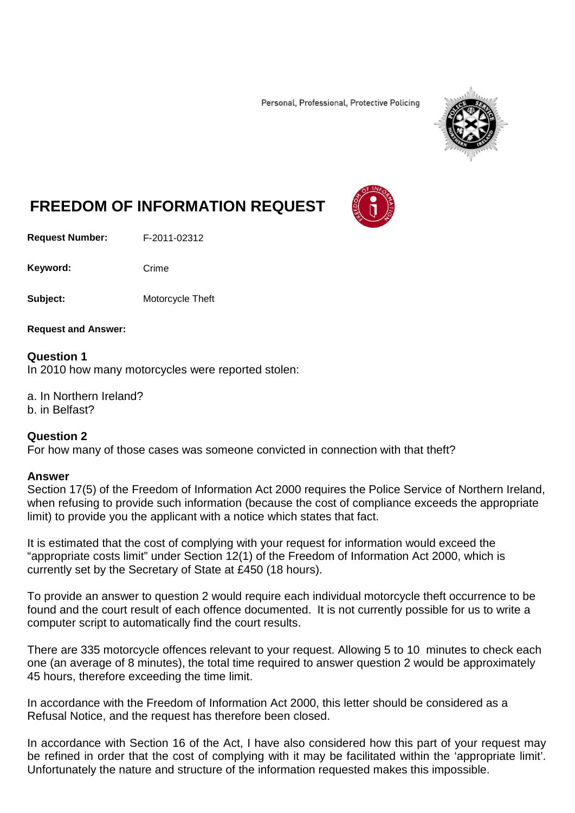Personal, Professional, Protective Policing



## **FREEDOM OF INFORMATION REQUEST**

**Request Number:** F-2011-02312

Keyword: Crime

**Subject:** Motorcycle Theft

**Request and Answer:**

## **Question 1**

In 2010 how many motorcycles were reported stolen:

a. In Northern Ireland?

b. in Belfast?

## **Question 2**

For how many of those cases was someone convicted in connection with that theft?

## **Answer**

Section 17(5) of the Freedom of Information Act 2000 requires the Police Service of Northern Ireland, when refusing to provide such information (because the cost of compliance exceeds the appropriate limit) to provide you the applicant with a notice which states that fact.

It is estimated that the cost of complying with your request for information would exceed the "appropriate costs limit" under Section 12(1) of the Freedom of Information Act 2000, which is currently set by the Secretary of State at £450 (18 hours).

To provide an answer to question 2 would require each individual motorcycle theft occurrence to be found and the court result of each offence documented. It is not currently possible for us to write a computer script to automatically find the court results.

There are 335 motorcycle offences relevant to your request. Allowing 5 to 10 minutes to check each one (an average of 8 minutes), the total time required to answer question 2 would be approximately 45 hours, therefore exceeding the time limit.

In accordance with the Freedom of Information Act 2000, this letter should be considered as a Refusal Notice, and the request has therefore been closed.

In accordance with Section 16 of the Act, I have also considered how this part of your request may be refined in order that the cost of complying with it may be facilitated within the 'appropriate limit'. Unfortunately the nature and structure of the information requested makes this impossible.